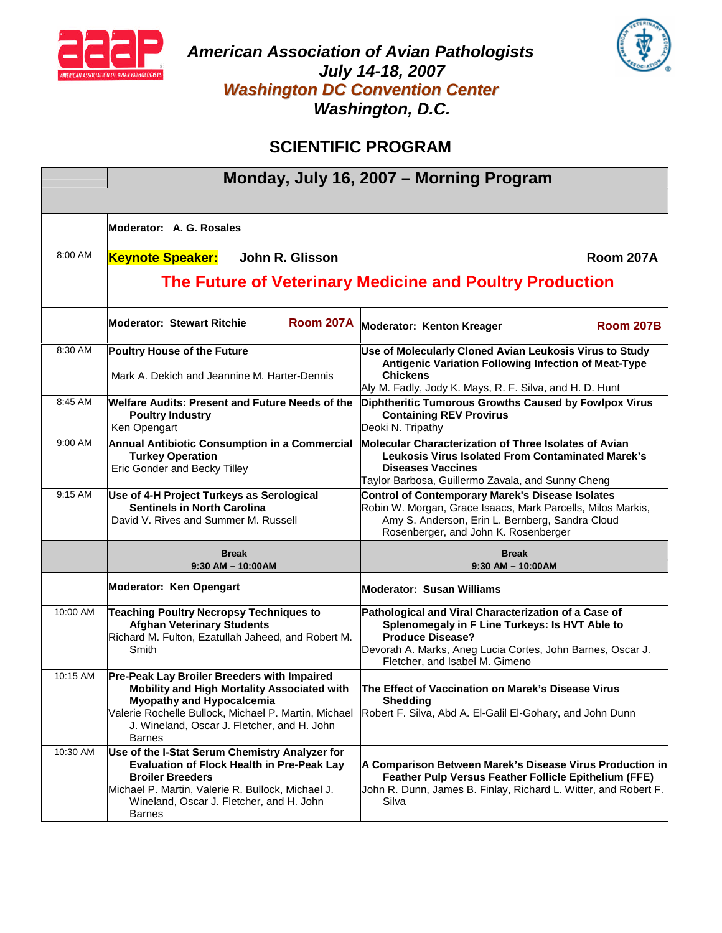

*American Association of Avian Pathologists July 14-18, 2007 Washington DC Convention Center Washington, D.C.*



# **SCIENTIFIC PROGRAM**

|           | Monday, July 16, 2007 - Morning Program                                                                                                                                                                                                                |                                                                                                                                                                                                                                   |
|-----------|--------------------------------------------------------------------------------------------------------------------------------------------------------------------------------------------------------------------------------------------------------|-----------------------------------------------------------------------------------------------------------------------------------------------------------------------------------------------------------------------------------|
|           |                                                                                                                                                                                                                                                        |                                                                                                                                                                                                                                   |
|           | Moderator: A. G. Rosales                                                                                                                                                                                                                               |                                                                                                                                                                                                                                   |
| 8:00 AM   | John R. Glisson<br><b>Keynote Speaker:</b>                                                                                                                                                                                                             | <b>Room 207A</b>                                                                                                                                                                                                                  |
|           |                                                                                                                                                                                                                                                        | The Future of Veterinary Medicine and Poultry Production                                                                                                                                                                          |
|           | <b>Room 207A</b><br><b>Moderator: Stewart Ritchie</b>                                                                                                                                                                                                  | <b>Moderator: Kenton Kreager</b><br><b>Room 207B</b>                                                                                                                                                                              |
| 8:30 AM   | Poultry House of the Future<br>Mark A. Dekich and Jeannine M. Harter-Dennis                                                                                                                                                                            | Use of Molecularly Cloned Avian Leukosis Virus to Study<br>Antigenic Variation Following Infection of Meat-Type<br><b>Chickens</b><br>Aly M. Fadly, Jody K. Mays, R. F. Silva, and H. D. Hunt                                     |
| 8:45 AM   | Welfare Audits: Present and Future Needs of the<br><b>Poultry Industry</b><br>Ken Opengart                                                                                                                                                             | Diphtheritic Tumorous Growths Caused by Fowlpox Virus<br><b>Containing REV Provirus</b><br>Deoki N. Tripathy                                                                                                                      |
| $9:00$ AM | Annual Antibiotic Consumption in a Commercial<br><b>Turkey Operation</b><br>Eric Gonder and Becky Tilley                                                                                                                                               | <b>Molecular Characterization of Three Isolates of Avian</b><br><b>Leukosis Virus Isolated From Contaminated Marek's</b><br><b>Diseases Vaccines</b><br>Taylor Barbosa, Guillermo Zavala, and Sunny Cheng                         |
| 9:15 AM   | Use of 4-H Project Turkeys as Serological<br><b>Sentinels in North Carolina</b><br>David V. Rives and Summer M. Russell                                                                                                                                | <b>Control of Contemporary Marek's Disease Isolates</b><br>Robin W. Morgan, Grace Isaacs, Mark Parcells, Milos Markis,<br>Amy S. Anderson, Erin L. Bernberg, Sandra Cloud<br>Rosenberger, and John K. Rosenberger                 |
|           | <b>Break</b><br>$9:30$ AM $-$ 10:00AM                                                                                                                                                                                                                  | <b>Break</b><br>$9:30$ AM $-$ 10:00 AM                                                                                                                                                                                            |
|           | Moderator: Ken Opengart                                                                                                                                                                                                                                | <b>Moderator: Susan Williams</b>                                                                                                                                                                                                  |
| 10:00 AM  | <b>Teaching Poultry Necropsy Techniques to</b><br><b>Afghan Veterinary Students</b><br>Richard M. Fulton, Ezatullah Jaheed, and Robert M.<br>Smith                                                                                                     | Pathological and Viral Characterization of a Case of<br>Splenomegaly in F Line Turkeys: Is HVT Able to<br><b>Produce Disease?</b><br>Devorah A. Marks, Aneg Lucia Cortes, John Barnes, Oscar J.<br>Fletcher, and Isabel M. Gimeno |
| 10:15 AM  | Pre-Peak Lay Broiler Breeders with Impaired<br>Mobility and High Mortality Associated with<br><b>Myopathy and Hypocalcemia</b><br>Valerie Rochelle Bullock, Michael P. Martin, Michael<br>J. Wineland, Oscar J. Fletcher, and H. John<br><b>Barnes</b> | The Effect of Vaccination on Marek's Disease Virus<br><b>Shedding</b><br>Robert F. Silva, Abd A. El-Galil El-Gohary, and John Dunn                                                                                                |
| 10:30 AM  | Use of the I-Stat Serum Chemistry Analyzer for<br><b>Evaluation of Flock Health in Pre-Peak Lay</b><br><b>Broiler Breeders</b><br>Michael P. Martin, Valerie R. Bullock, Michael J.<br>Wineland, Oscar J. Fletcher, and H. John<br><b>Barnes</b>       | A Comparison Between Marek's Disease Virus Production in<br>Feather Pulp Versus Feather Follicle Epithelium (FFE)<br>John R. Dunn, James B. Finlay, Richard L. Witter, and Robert F.<br>Silva                                     |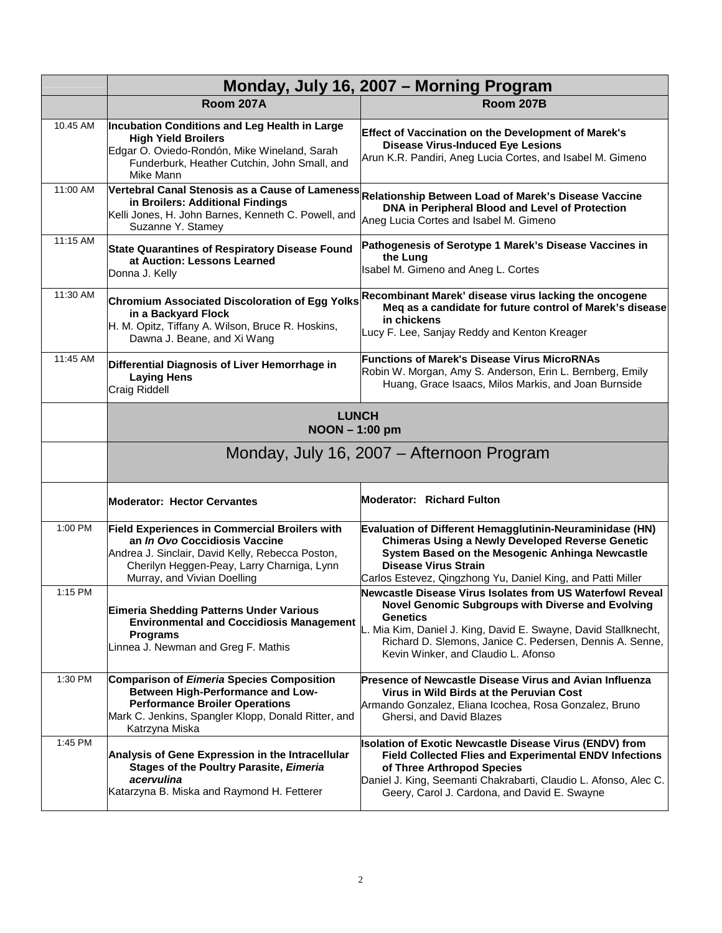|          | Monday, July 16, 2007 - Morning Program                                                                                                                                                                                       |                                                                                                                                                                                                                                                                                                  |
|----------|-------------------------------------------------------------------------------------------------------------------------------------------------------------------------------------------------------------------------------|--------------------------------------------------------------------------------------------------------------------------------------------------------------------------------------------------------------------------------------------------------------------------------------------------|
|          | <b>Room 207A</b>                                                                                                                                                                                                              | Room 207B                                                                                                                                                                                                                                                                                        |
| 10.45 AM | Incubation Conditions and Leg Health in Large<br><b>High Yield Broilers</b><br>Edgar O. Oviedo-Rondón, Mike Wineland, Sarah<br>Funderburk, Heather Cutchin, John Small, and<br>Mike Mann                                      | <b>Effect of Vaccination on the Development of Marek's</b><br><b>Disease Virus-Induced Eye Lesions</b><br>Arun K.R. Pandiri, Aneg Lucia Cortes, and Isabel M. Gimeno                                                                                                                             |
| 11:00 AM | in Broilers: Additional Findings<br>Kelli Jones, H. John Barnes, Kenneth C. Powell, and<br>Suzanne Y. Stamey                                                                                                                  | Vertebral Canal Stenosis as a Cause of Lameness Relationship Between Load of Marek's Disease Vaccine<br>DNA in Peripheral Blood and Level of Protection<br>Aneg Lucia Cortes and Isabel M. Gimeno                                                                                                |
| 11:15 AM | State Quarantines of Respiratory Disease Found<br>at Auction: Lessons Learned<br>Donna J. Kelly                                                                                                                               | Pathogenesis of Serotype 1 Marek's Disease Vaccines in<br>the Lung<br>Isabel M. Gimeno and Aneg L. Cortes                                                                                                                                                                                        |
| 11:30 AM | <b>Chromium Associated Discoloration of Egg Yolks</b><br>in a Backyard Flock<br>H. M. Opitz, Tiffany A. Wilson, Bruce R. Hoskins,<br>Dawna J. Beane, and Xi Wang                                                              | Recombinant Marek' disease virus lacking the oncogene<br>Meg as a candidate for future control of Marek's disease<br>in chickens<br>Lucy F. Lee, Sanjay Reddy and Kenton Kreager                                                                                                                 |
| 11:45 AM | Differential Diagnosis of Liver Hemorrhage in<br><b>Laying Hens</b><br>Craig Riddell                                                                                                                                          | <b>Functions of Marek's Disease Virus MicroRNAs</b><br>Robin W. Morgan, Amy S. Anderson, Erin L. Bernberg, Emily<br>Huang, Grace Isaacs, Milos Markis, and Joan Burnside                                                                                                                         |
|          | <b>LUNCH</b><br>NOON-1:00 pm<br>Monday, July 16, 2007 – Afternoon Program                                                                                                                                                     |                                                                                                                                                                                                                                                                                                  |
|          | <b>Moderator: Hector Cervantes</b>                                                                                                                                                                                            | <b>Moderator: Richard Fulton</b>                                                                                                                                                                                                                                                                 |
| 1:00 PM  | <b>Field Experiences in Commercial Broilers with</b><br>an <i>In Ovo</i> Coccidiosis Vaccine<br>Andrea J. Sinclair, David Kelly, Rebecca Poston,<br>Cherilyn Heggen-Peay, Larry Charniga, Lynn<br>Murray, and Vivian Doelling | Evaluation of Different Hemagglutinin-Neuraminidase (HN)<br><b>Chimeras Using a Newly Developed Reverse Genetic</b><br>System Based on the Mesogenic Anhinga Newcastle<br><b>Disease Virus Strain</b><br>Carlos Estevez, Qingzhong Yu, Daniel King, and Patti Miller                             |
| 1:15 PM  | <b>Eimeria Shedding Patterns Under Various</b><br><b>Environmental and Coccidiosis Management</b><br><b>Programs</b><br>Linnea J. Newman and Greg F. Mathis                                                                   | Newcastle Disease Virus Isolates from US Waterfowl Reveal<br>Novel Genomic Subgroups with Diverse and Evolving<br>Genetics<br>L. Mia Kim, Daniel J. King, David E. Swayne, David Stallknecht,<br>Richard D. Slemons, Janice C. Pedersen, Dennis A. Senne,<br>Kevin Winker, and Claudio L. Afonso |
| 1:30 PM  | <b>Comparison of Eimeria Species Composition</b><br>Between High-Performance and Low-<br><b>Performance Broiler Operations</b><br>Mark C. Jenkins, Spangler Klopp, Donald Ritter, and<br>Katrzyna Miska                       | Presence of Newcastle Disease Virus and Avian Influenza<br>Virus in Wild Birds at the Peruvian Cost<br>Armando Gonzalez, Eliana Icochea, Rosa Gonzalez, Bruno<br>Ghersi, and David Blazes                                                                                                        |
| 1:45 PM  | Analysis of Gene Expression in the Intracellular<br>Stages of the Poultry Parasite, Eimeria<br>acervulina<br>Katarzyna B. Miska and Raymond H. Fetterer                                                                       | <b>Isolation of Exotic Newcastle Disease Virus (ENDV) from</b><br><b>Field Collected Flies and Experimental ENDV Infections</b><br>of Three Arthropod Species<br>Daniel J. King, Seemanti Chakrabarti, Claudio L. Afonso, Alec C.<br>Geery, Carol J. Cardona, and David E. Swayne                |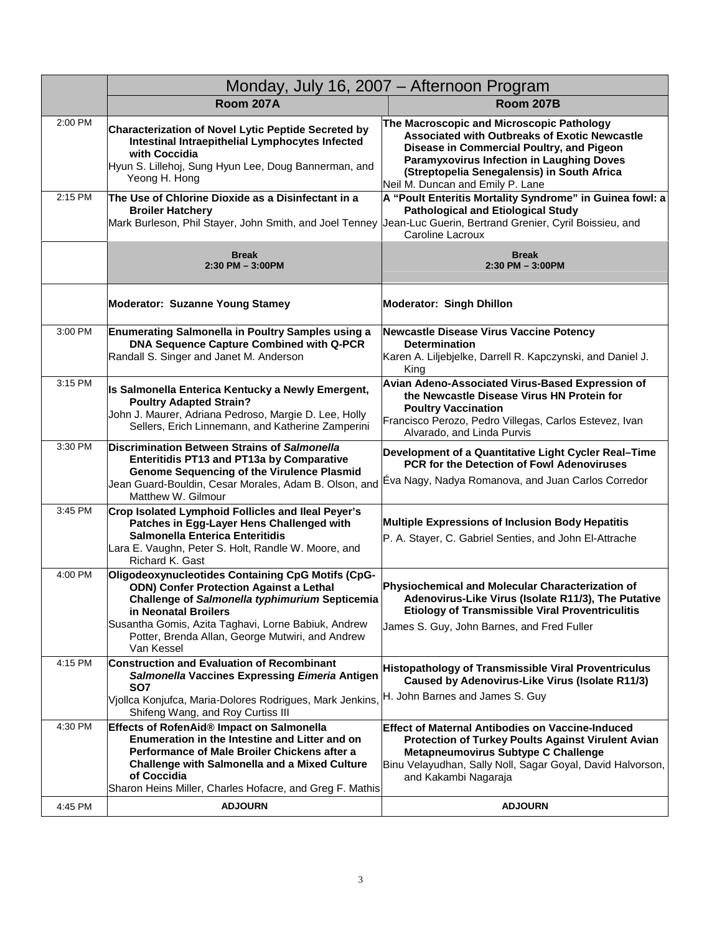|         |                                                                                                                                                                                                                                                                                | Monday, July 16, 2007 - Afternoon Program                                                                                                                                                                                                                                             |
|---------|--------------------------------------------------------------------------------------------------------------------------------------------------------------------------------------------------------------------------------------------------------------------------------|---------------------------------------------------------------------------------------------------------------------------------------------------------------------------------------------------------------------------------------------------------------------------------------|
|         | <b>Room 207A</b>                                                                                                                                                                                                                                                               | <b>Room 207B</b>                                                                                                                                                                                                                                                                      |
| 2:00 PM | Characterization of Novel Lytic Peptide Secreted by<br>Intestinal Intraepithelial Lymphocytes Infected<br>with Coccidia<br>Hyun S. Lillehoj, Sung Hyun Lee, Doug Bannerman, and<br>Yeong H. Hong                                                                               | The Macroscopic and Microscopic Pathology<br><b>Associated with Outbreaks of Exotic Newcastle</b><br>Disease in Commercial Poultry, and Pigeon<br><b>Paramyxovirus Infection in Laughing Doves</b><br>(Streptopelia Senegalensis) in South Africa<br>Neil M. Duncan and Emily P. Lane |
| 2:15 PM | The Use of Chlorine Dioxide as a Disinfectant in a<br><b>Broiler Hatchery</b><br>Mark Burleson, Phil Stayer, John Smith, and Joel Tenney  Jean-Luc Guerin, Bertrand Grenier, Cyril Boissieu, and                                                                               | A "Poult Enteritis Mortality Syndrome" in Guinea fowl: a<br><b>Pathological and Etiological Study</b><br>Caroline Lacroux                                                                                                                                                             |
|         | <b>Break</b><br>$2:30$ PM $-3:00$ PM                                                                                                                                                                                                                                           | <b>Break</b><br>$2:30$ PM $-3:00$ PM                                                                                                                                                                                                                                                  |
|         | <b>Moderator: Suzanne Young Stamey</b>                                                                                                                                                                                                                                         | <b>Moderator: Singh Dhillon</b>                                                                                                                                                                                                                                                       |
| 3:00 PM | <b>Enumerating Salmonella in Poultry Samples using a</b><br><b>DNA Sequence Capture Combined with Q-PCR</b><br>Randall S. Singer and Janet M. Anderson                                                                                                                         | <b>Newcastle Disease Virus Vaccine Potency</b><br><b>Determination</b><br>Karen A. Liljebjelke, Darrell R. Kapczynski, and Daniel J.<br>King                                                                                                                                          |
| 3:15 PM | Is Salmonella Enterica Kentucky a Newly Emergent,<br><b>Poultry Adapted Strain?</b><br>John J. Maurer, Adriana Pedroso, Margie D. Lee, Holly<br>Sellers, Erich Linnemann, and Katherine Zamperini                                                                              | Avian Adeno-Associated Virus-Based Expression of<br>the Newcastle Disease Virus HN Protein for<br><b>Poultry Vaccination</b><br>Francisco Perozo, Pedro Villegas, Carlos Estevez, Ivan<br>Alvarado, and Linda Purvis                                                                  |
| 3:30 PM | Discrimination Between Strains of Salmonella<br><b>Enteritidis PT13 and PT13a by Comparative</b><br><b>Genome Sequencing of the Virulence Plasmid</b><br>Jean Guard-Bouldin, Cesar Morales, Adam B. Olson, and<br>Matthew W. Gilmour                                           | Development of a Quantitative Light Cycler Real-Time<br><b>PCR for the Detection of Fowl Adenoviruses</b><br>Eva Nagy, Nadya Romanova, and Juan Carlos Corredor                                                                                                                       |
| 3:45 PM | Crop Isolated Lymphoid Follicles and Ileal Peyer's<br>Patches in Egg-Layer Hens Challenged with<br>Salmonella Enterica Enteritidis<br>Lara E. Vaughn, Peter S. Holt, Randle W. Moore, and<br>Richard K. Gast                                                                   | Multiple Expressions of Inclusion Body Hepatitis<br>P. A. Stayer, C. Gabriel Senties, and John El-Attrache                                                                                                                                                                            |
| 4:00 PM | Oligodeoxynucleotides Containing CpG Motifs (CpG-<br><b>ODN) Confer Protection Against a Lethal</b><br>Challenge of Salmonella typhimurium Septicemia<br>in Neonatal Broilers<br>Susantha Gomis, Azita Taghavi, Lorne Babiuk, Andrew                                           | Physiochemical and Molecular Characterization of<br>Adenovirus-Like Virus (Isolate R11/3), The Putative<br><b>Etiology of Transmissible Viral Proventriculitis</b><br>James S. Guy, John Barnes, and Fred Fuller                                                                      |
|         | Potter, Brenda Allan, George Mutwiri, and Andrew<br>Van Kessel                                                                                                                                                                                                                 |                                                                                                                                                                                                                                                                                       |
| 4:15 PM | <b>Construction and Evaluation of Recombinant</b><br>Salmonella Vaccines Expressing Eimeria Antigen<br>SO7                                                                                                                                                                     | <b>Histopathology of Transmissible Viral Proventriculus</b><br>Caused by Adenovirus-Like Virus (Isolate R11/3)                                                                                                                                                                        |
|         | Viollca Konjufca, Maria-Dolores Rodrigues, Mark Jenkins,<br>Shifeng Wang, and Roy Curtiss III                                                                                                                                                                                  | H. John Barnes and James S. Guy                                                                                                                                                                                                                                                       |
| 4:30 PM | Effects of RofenAid® Impact on Salmonella<br>Enumeration in the Intestine and Litter and on<br>Performance of Male Broiler Chickens after a<br><b>Challenge with Salmonella and a Mixed Culture</b><br>of Coccidia<br>Sharon Heins Miller, Charles Hofacre, and Greg F. Mathis | <b>Effect of Maternal Antibodies on Vaccine-Induced</b><br><b>Protection of Turkey Poults Against Virulent Avian</b><br>Metapneumovirus Subtype C Challenge<br>Binu Velayudhan, Sally Noll, Sagar Goyal, David Halvorson,<br>and Kakambi Nagaraja                                     |
| 4:45 PM | <b>ADJOURN</b>                                                                                                                                                                                                                                                                 | <b>ADJOURN</b>                                                                                                                                                                                                                                                                        |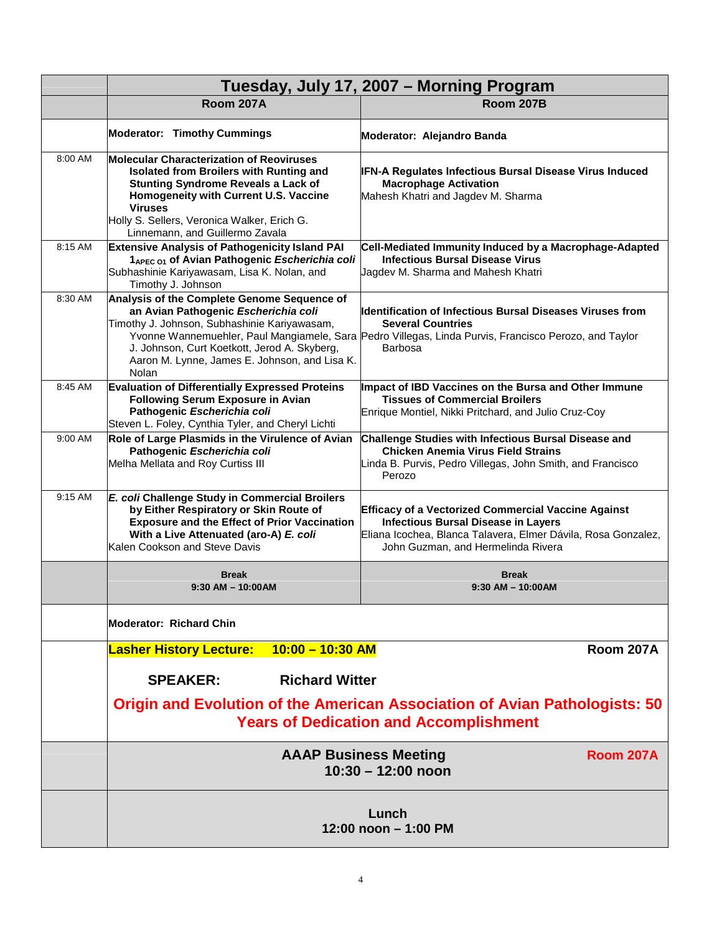|         | Tuesday, July 17, 2007 - Morning Program                                                                                                                                                                                                                                              |                                                                                                                                                                                                                         |  |
|---------|---------------------------------------------------------------------------------------------------------------------------------------------------------------------------------------------------------------------------------------------------------------------------------------|-------------------------------------------------------------------------------------------------------------------------------------------------------------------------------------------------------------------------|--|
|         | <b>Room 207A</b>                                                                                                                                                                                                                                                                      | <b>Room 207B</b>                                                                                                                                                                                                        |  |
|         | <b>Moderator: Timothy Cummings</b>                                                                                                                                                                                                                                                    | Moderator: Alejandro Banda                                                                                                                                                                                              |  |
| 8:00 AM | <b>Molecular Characterization of Reoviruses</b><br>Isolated from Broilers with Runting and<br><b>Stunting Syndrome Reveals a Lack of</b><br>Homogeneity with Current U.S. Vaccine<br><b>Viruses</b><br>Holly S. Sellers, Veronica Walker, Erich G.<br>Linnemann, and Guillermo Zavala | IFN-A Regulates Infectious Bursal Disease Virus Induced<br><b>Macrophage Activation</b><br>Mahesh Khatri and Jagdev M. Sharma                                                                                           |  |
| 8:15 AM | <b>Extensive Analysis of Pathogenicity Island PAI</b><br>1 <sub>APEC 01</sub> of Avian Pathogenic Escherichia coli<br>Subhashinie Kariyawasam, Lisa K. Nolan, and<br>Timothy J. Johnson                                                                                               | Cell-Mediated Immunity Induced by a Macrophage-Adapted<br><b>Infectious Bursal Disease Virus</b><br>Jagdev M. Sharma and Mahesh Khatri                                                                                  |  |
| 8:30 AM | Analysis of the Complete Genome Sequence of<br>an Avian Pathogenic Escherichia coli<br>Timothy J. Johnson, Subhashinie Kariyawasam,<br>J. Johnson, Curt Koetkott, Jerod A. Skyberg,<br>Aaron M. Lynne, James E. Johnson, and Lisa K.<br>Nolan                                         | <b>Identification of Infectious Bursal Diseases Viruses from</b><br><b>Several Countries</b><br>Yvonne Wannemuehler, Paul Mangiamele, Sara Pedro Villegas, Linda Purvis, Francisco Perozo, and Taylor<br><b>Barbosa</b> |  |
| 8:45 AM | <b>Evaluation of Differentially Expressed Proteins</b><br><b>Following Serum Exposure in Avian</b><br>Pathogenic Escherichia coli<br>Steven L. Foley, Cynthia Tyler, and Cheryl Lichti                                                                                                | Impact of IBD Vaccines on the Bursa and Other Immune<br><b>Tissues of Commercial Broilers</b><br>Enrique Montiel, Nikki Pritchard, and Julio Cruz-Coy                                                                   |  |
| 9:00 AM | Role of Large Plasmids in the Virulence of Avian<br>Pathogenic Escherichia coli<br>Melha Mellata and Roy Curtiss III                                                                                                                                                                  | Challenge Studies with Infectious Bursal Disease and<br><b>Chicken Anemia Virus Field Strains</b><br>Linda B. Purvis, Pedro Villegas, John Smith, and Francisco<br>Perozo                                               |  |
| 9:15 AM | E. coli Challenge Study in Commercial Broilers<br>by Either Respiratory or Skin Route of<br><b>Exposure and the Effect of Prior Vaccination</b><br>With a Live Attenuated (aro-A) E. coli<br>Kalen Cookson and Steve Davis                                                            | <b>Efficacy of a Vectorized Commercial Vaccine Against</b><br><b>Infectious Bursal Disease in Layers</b><br>Eliana Icochea, Blanca Talavera, Elmer Dávila, Rosa Gonzalez,<br>John Guzman, and Hermelinda Rivera         |  |
|         | <b>Break</b><br>$9:30$ AM $-$ 10:00AM                                                                                                                                                                                                                                                 | Break<br>$9:30$ AM $-$ 10:00 AM                                                                                                                                                                                         |  |
|         | <b>Moderator: Richard Chin</b>                                                                                                                                                                                                                                                        |                                                                                                                                                                                                                         |  |
|         | $10:00 - 10:30$ AM<br><b>Lasher History Lecture:</b>                                                                                                                                                                                                                                  | <b>Room 207A</b>                                                                                                                                                                                                        |  |
|         | <b>Richard Witter</b><br><b>SPEAKER:</b><br><b>Origin and Evolution of the American Association of Avian Pathologists: 50</b>                                                                                                                                                         |                                                                                                                                                                                                                         |  |
|         |                                                                                                                                                                                                                                                                                       | <b>Years of Dedication and Accomplishment</b>                                                                                                                                                                           |  |
|         | <b>AAAP Business Meeting</b><br><b>Room 207A</b><br>$10:30 - 12:00$ noon                                                                                                                                                                                                              |                                                                                                                                                                                                                         |  |
|         | Lunch<br>12:00 noon - 1:00 PM                                                                                                                                                                                                                                                         |                                                                                                                                                                                                                         |  |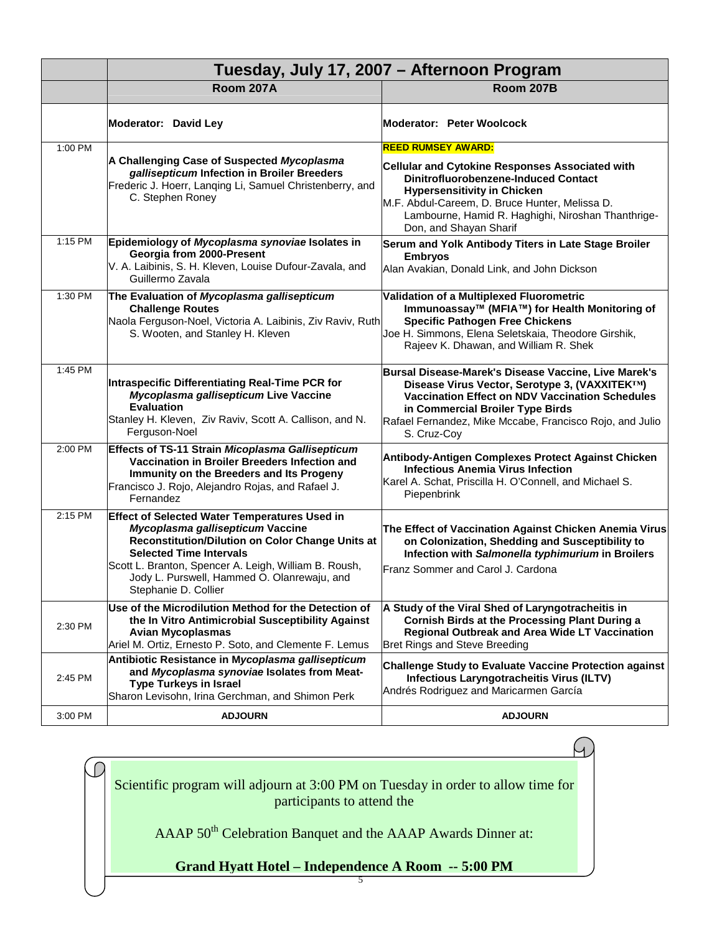|         | Tuesday, July 17, 2007 - Afternoon Program                                                                                                                                                                                                                                                                     |                                                                                                                                                                                                                                                                                                     |
|---------|----------------------------------------------------------------------------------------------------------------------------------------------------------------------------------------------------------------------------------------------------------------------------------------------------------------|-----------------------------------------------------------------------------------------------------------------------------------------------------------------------------------------------------------------------------------------------------------------------------------------------------|
|         | Room 207A                                                                                                                                                                                                                                                                                                      | Room 207B                                                                                                                                                                                                                                                                                           |
|         | Moderator: David Ley                                                                                                                                                                                                                                                                                           | Moderator: Peter Woolcock                                                                                                                                                                                                                                                                           |
| 1:00 PM | A Challenging Case of Suspected Mycoplasma<br>gallisepticum Infection in Broiler Breeders<br>Frederic J. Hoerr, Lanqing Li, Samuel Christenberry, and<br>C. Stephen Roney                                                                                                                                      | <b>REED RUMSEY AWARD:</b><br>Cellular and Cytokine Responses Associated with<br><b>Dinitrofluorobenzene-Induced Contact</b><br><b>Hypersensitivity in Chicken</b><br>M.F. Abdul-Careem, D. Bruce Hunter, Melissa D.<br>Lambourne, Hamid R. Haghighi, Niroshan Thanthrige-<br>Don, and Shayan Sharif |
| 1:15 PM | Epidemiology of Mycoplasma synoviae Isolates in<br>Georgia from 2000-Present<br>V. A. Laibinis, S. H. Kleven, Louise Dufour-Zavala, and<br>Guillermo Zavala                                                                                                                                                    | Serum and Yolk Antibody Titers in Late Stage Broiler<br><b>Embryos</b><br>Alan Avakian, Donald Link, and John Dickson                                                                                                                                                                               |
| 1:30 PM | The Evaluation of Mycoplasma gallisepticum<br><b>Challenge Routes</b><br>Naola Ferguson-Noel, Victoria A. Laibinis, Ziv Raviv, Ruth<br>S. Wooten, and Stanley H. Kleven                                                                                                                                        | Validation of a Multiplexed Fluorometric<br>Immunoassay™ (MFIA™) for Health Monitoring of<br><b>Specific Pathogen Free Chickens</b><br>Joe H. Simmons, Elena Seletskaia, Theodore Girshik,<br>Rajeev K. Dhawan, and William R. Shek                                                                 |
| 1:45 PM | Intraspecific Differentiating Real-Time PCR for<br>Mycoplasma gallisepticum Live Vaccine<br><b>Evaluation</b><br>Stanley H. Kleven, Ziv Raviv, Scott A. Callison, and N.<br>Ferguson-Noel                                                                                                                      | Bursal Disease-Marek's Disease Vaccine, Live Marek's<br>Disease Virus Vector, Serotype 3, (VAXXITEK™)<br><b>Vaccination Effect on NDV Vaccination Schedules</b><br>in Commercial Broiler Type Birds<br>Rafael Fernandez, Mike Mccabe, Francisco Rojo, and Julio<br>S. Cruz-Coy                      |
| 2:00 PM | Effects of TS-11 Strain Micoplasma Gallisepticum<br>Vaccination in Broiler Breeders Infection and<br>Immunity on the Breeders and Its Progeny<br>Francisco J. Rojo, Alejandro Rojas, and Rafael J.<br>Fernandez                                                                                                | Antibody-Antigen Complexes Protect Against Chicken<br><b>Infectious Anemia Virus Infection</b><br>Karel A. Schat, Priscilla H. O'Connell, and Michael S.<br>Piepenbrink                                                                                                                             |
| 2:15 PM | <b>Effect of Selected Water Temperatures Used in</b><br>Mycoplasma gallisepticum Vaccine<br>Reconstitution/Dilution on Color Change Units at<br><b>Selected Time Intervals</b><br>Scott L. Branton, Spencer A. Leigh, William B. Roush,<br>Jody L. Purswell, Hammed O. Olanrewaju, and<br>Stephanie D. Collier | The Effect of Vaccination Against Chicken Anemia Virus<br>on Colonization, Shedding and Susceptibility to<br>Infection with Salmonella typhimurium in Broilers<br>Franz Sommer and Carol J. Cardona                                                                                                 |
| 2:30 PM | Use of the Microdilution Method for the Detection of<br>the In Vitro Antimicrobial Susceptibility Against<br><b>Avian Mycoplasmas</b><br>Ariel M. Ortiz, Ernesto P. Soto, and Clemente F. Lemus                                                                                                                | A Study of the Viral Shed of Laryngotracheitis in<br><b>Cornish Birds at the Processing Plant During a</b><br>Regional Outbreak and Area Wide LT Vaccination<br>Bret Rings and Steve Breeding                                                                                                       |
| 2:45 PM | Antibiotic Resistance in Mycoplasma gallisepticum<br>and Mycoplasma synoviae Isolates from Meat-<br><b>Type Turkeys in Israel</b><br>Sharon Levisohn, Irina Gerchman, and Shimon Perk                                                                                                                          | <b>Challenge Study to Evaluate Vaccine Protection against</b><br>Infectious Laryngotracheitis Virus (ILTV)<br>Andrés Rodriguez and Maricarmen García                                                                                                                                                |
| 3:00 PM | <b>ADJOURN</b>                                                                                                                                                                                                                                                                                                 | <b>ADJOURN</b>                                                                                                                                                                                                                                                                                      |

Ч. Scientific program will adjourn at 3:00 PM on Tuesday in order to allow time for participants to attend the AAAP  $50<sup>th</sup>$  Celebration Banquet and the AAAP Awards Dinner at:

# **Grand Hyatt Hotel – Independence A Room -- 5:00 PM**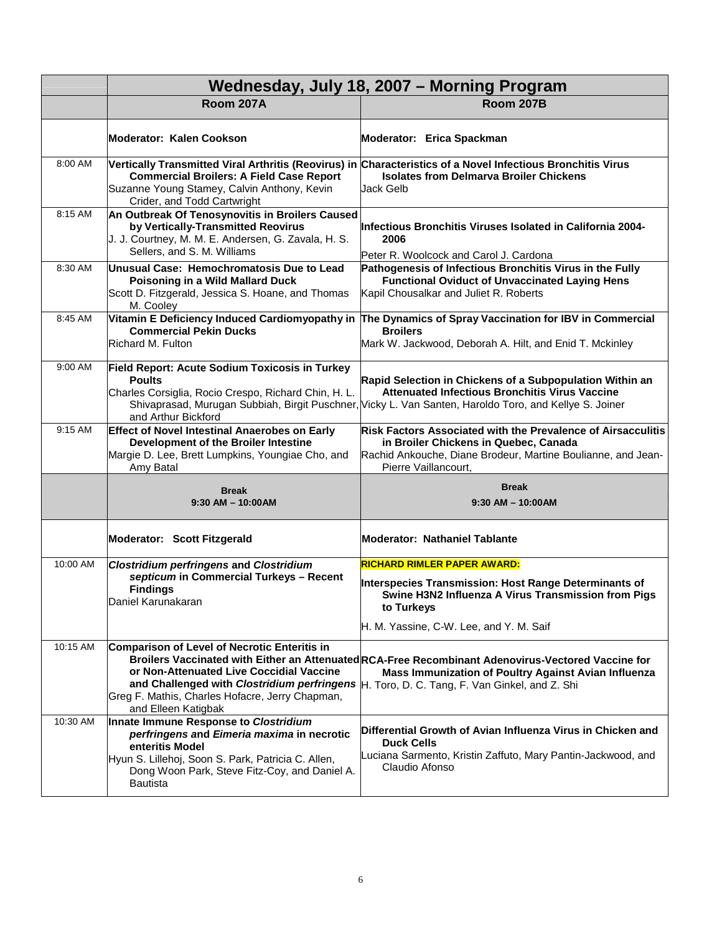|          | Wednesday, July 18, 2007 - Morning Program                                                                                                                                                                                |                                                                                                                                                                                                                             |
|----------|---------------------------------------------------------------------------------------------------------------------------------------------------------------------------------------------------------------------------|-----------------------------------------------------------------------------------------------------------------------------------------------------------------------------------------------------------------------------|
|          | <b>Room 207A</b>                                                                                                                                                                                                          | <b>Room 207B</b>                                                                                                                                                                                                            |
|          | Moderator: Kalen Cookson                                                                                                                                                                                                  | Moderator: Erica Spackman                                                                                                                                                                                                   |
| 8:00 AM  | <b>Commercial Broilers: A Field Case Report</b><br>Suzanne Young Stamey, Calvin Anthony, Kevin<br>Crider, and Todd Cartwright                                                                                             | Vertically Transmitted Viral Arthritis (Reovirus) in Characteristics of a Novel Infectious Bronchitis Virus<br><b>Isolates from Delmarva Broiler Chickens</b><br>Jack Gelb                                                  |
| 8:15 AM  | An Outbreak Of Tenosynovitis in Broilers Caused<br>by Vertically-Transmitted Reovirus<br>J. J. Courtney, M. M. E. Andersen, G. Zavala, H. S.<br>Sellers, and S. M. Williams                                               | Infectious Bronchitis Viruses Isolated in California 2004-<br>2006<br>Peter R. Woolcock and Carol J. Cardona                                                                                                                |
| 8:30 AM  | Unusual Case: Hemochromatosis Due to Lead<br>Poisoning in a Wild Mallard Duck<br>Scott D. Fitzgerald, Jessica S. Hoane, and Thomas<br>M. Cooley                                                                           | Pathogenesis of Infectious Bronchitis Virus in the Fully<br><b>Functional Oviduct of Unvaccinated Laying Hens</b><br>Kapil Chousalkar and Juliet R. Roberts                                                                 |
| 8:45 AM  | <b>Commercial Pekin Ducks</b><br>Richard M. Fulton                                                                                                                                                                        | Vitamin E Deficiency Induced Cardiomyopathy in The Dynamics of Spray Vaccination for IBV in Commercial<br><b>Broilers</b><br>Mark W. Jackwood, Deborah A. Hilt, and Enid T. Mckinley                                        |
| 9:00 AM  | Field Report: Acute Sodium Toxicosis in Turkey<br><b>Poults</b><br>Charles Corsiglia, Rocio Crespo, Richard Chin, H. L.<br>and Arthur Bickford                                                                            | Rapid Selection in Chickens of a Subpopulation Within an<br><b>Attenuated Infectious Bronchitis Virus Vaccine</b><br>Shivaprasad, Murugan Subbiah, Birgit Puschner, Vicky L. Van Santen, Haroldo Toro, and Kellye S. Joiner |
| 9:15 AM  | <b>Effect of Novel Intestinal Anaerobes on Early</b><br>Development of the Broiler Intestine<br>Margie D. Lee, Brett Lumpkins, Youngiae Cho, and<br>Amy Batal                                                             | Risk Factors Associated with the Prevalence of Airsacculitis<br>in Broiler Chickens in Quebec, Canada<br>Rachid Ankouche, Diane Brodeur, Martine Boulianne, and Jean-<br>Pierre Vaillancourt,                               |
|          | <b>Break</b><br>$9:30$ AM $-$ 10:00AM                                                                                                                                                                                     | <b>Break</b><br>$9:30$ AM $-$ 10:00 AM                                                                                                                                                                                      |
|          | Moderator: Scott Fitzgerald                                                                                                                                                                                               | Moderator: Nathaniel Tablante                                                                                                                                                                                               |
| 10:00 AM | <b>Clostridium perfringens and Clostridium</b><br>septicum in Commercial Turkeys - Recent<br><b>Findings</b><br>Daniel Karunakaran                                                                                        | <mark>RICHARD RIMLER PAPER AWARD:</mark><br>Interspecies Transmission: Host Range Determinants of<br>Swine H3N2 Influenza A Virus Transmission from Pigs<br>to Turkeys<br>H. M. Yassine, C-W. Lee, and Y. M. Saif           |
| 10:15 AM | Comparison of Level of Necrotic Enteritis in<br>or Non-Attenuated Live Coccidial Vaccine<br>and Challenged with Clostridium perfringens<br>Greg F. Mathis, Charles Hofacre, Jerry Chapman,<br>and Elleen Katigbak         | Broilers Vaccinated with Either an Attenuated RCA-Free Recombinant Adenovirus-Vectored Vaccine for<br>Mass Immunization of Poultry Against Avian Influenza<br>H. Toro, D. C. Tang, F. Van Ginkel, and Z. Shi                |
| 10:30 AM | Innate Immune Response to Clostridium<br>perfringens and Eimeria maxima in necrotic<br>enteritis Model<br>Hyun S. Lillehoj, Soon S. Park, Patricia C. Allen,<br>Dong Woon Park, Steve Fitz-Coy, and Daniel A.<br>Bautista | Differential Growth of Avian Influenza Virus in Chicken and<br><b>Duck Cells</b><br>Luciana Sarmento, Kristin Zaffuto, Mary Pantin-Jackwood, and<br>Claudio Afonso                                                          |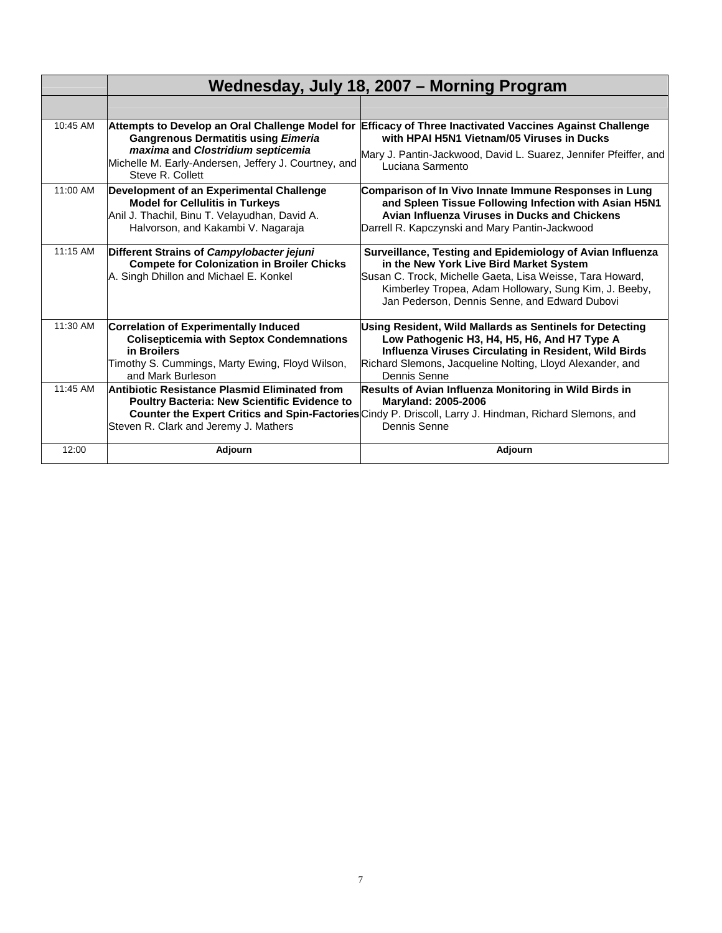|          |                                                                                                                                                                                        | Wednesday, July 18, 2007 – Morning Program                                                                                                                                                                                                                                  |
|----------|----------------------------------------------------------------------------------------------------------------------------------------------------------------------------------------|-----------------------------------------------------------------------------------------------------------------------------------------------------------------------------------------------------------------------------------------------------------------------------|
|          |                                                                                                                                                                                        |                                                                                                                                                                                                                                                                             |
| 10:45 AM | <b>Gangrenous Dermatitis using Eimeria</b><br>maxima and Clostridium septicemia<br>Michelle M. Early-Andersen, Jeffery J. Courtney, and<br>Steve R. Collett                            | Attempts to Develop an Oral Challenge Model for Efficacy of Three Inactivated Vaccines Against Challenge<br>with HPAI H5N1 Vietnam/05 Viruses in Ducks<br>Mary J. Pantin-Jackwood, David L. Suarez, Jennifer Pfeiffer, and<br>Luciana Sarmento                              |
| 11:00 AM | Development of an Experimental Challenge<br><b>Model for Cellulitis in Turkeys</b><br>Anil J. Thachil, Binu T. Velayudhan, David A.<br>Halvorson, and Kakambi V. Nagaraja              | Comparison of In Vivo Innate Immune Responses in Lung<br>and Spleen Tissue Following Infection with Asian H5N1<br>Avian Influenza Viruses in Ducks and Chickens<br>Darrell R. Kapczynski and Mary Pantin-Jackwood                                                           |
| 11:15 AM | Different Strains of Campylobacter jejuni<br><b>Compete for Colonization in Broiler Chicks</b><br>A. Singh Dhillon and Michael E. Konkel                                               | Surveillance, Testing and Epidemiology of Avian Influenza<br>in the New York Live Bird Market System<br>Susan C. Trock, Michelle Gaeta, Lisa Weisse, Tara Howard,<br>Kimberley Tropea, Adam Hollowary, Sung Kim, J. Beeby,<br>Jan Pederson, Dennis Senne, and Edward Dubovi |
| 11:30 AM | <b>Correlation of Experimentally Induced</b><br><b>Colisepticemia with Septox Condemnations</b><br>in Broilers<br>Timothy S. Cummings, Marty Ewing, Floyd Wilson,<br>and Mark Burleson | Using Resident, Wild Mallards as Sentinels for Detecting<br>Low Pathogenic H3, H4, H5, H6, And H7 Type A<br>Influenza Viruses Circulating in Resident, Wild Birds<br>Richard Slemons, Jacqueline Nolting, Lloyd Alexander, and<br>Dennis Senne                              |
| 11:45 AM | Antibiotic Resistance Plasmid Eliminated from<br><b>Poultry Bacteria: New Scientific Evidence to</b><br>Steven R. Clark and Jeremy J. Mathers                                          | Results of Avian Influenza Monitoring in Wild Birds in<br><b>Maryland: 2005-2006</b><br>Counter the Expert Critics and Spin-Factories Cindy P. Driscoll, Larry J. Hindman, Richard Slemons, and<br>Dennis Senne                                                             |
| 12:00    | Adjourn                                                                                                                                                                                | Adjourn                                                                                                                                                                                                                                                                     |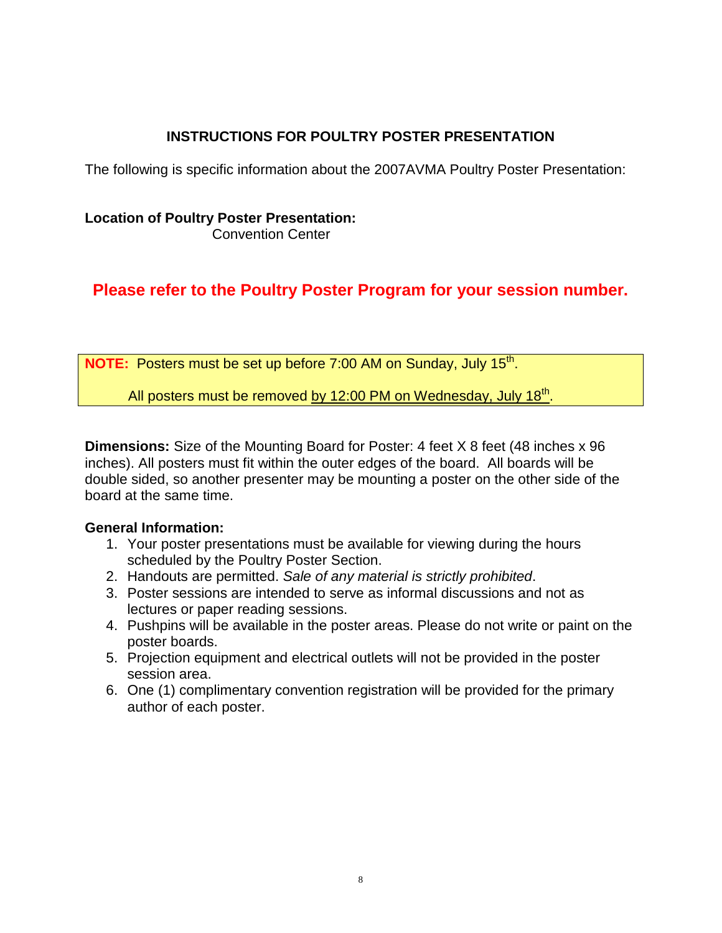# **INSTRUCTIONS FOR POULTRY POSTER PRESENTATION**

The following is specific information about the 2007AVMA Poultry Poster Presentation:

# **Location of Poultry Poster Presentation:**

Convention Center

# **Please refer to the Poultry Poster Program for your session number.**

**NOTE:** Posters must be set up before 7:00 AM on Sunday, July 15<sup>th</sup>.

All posters must be removed by 12:00 PM on Wednesday, July 18<sup>th</sup>.

**Dimensions:** Size of the Mounting Board for Poster: 4 feet X 8 feet (48 inches x 96 inches). All posters must fit within the outer edges of the board. All boards will be double sided, so another presenter may be mounting a poster on the other side of the board at the same time.

# **General Information:**

- 1. Your poster presentations must be available for viewing during the hours scheduled by the Poultry Poster Section.
- 2. Handouts are permitted. *Sale of any material is strictly prohibited*.
- 3. Poster sessions are intended to serve as informal discussions and not as lectures or paper reading sessions.
- 4. Pushpins will be available in the poster areas. Please do not write or paint on the poster boards.
- 5. Projection equipment and electrical outlets will not be provided in the poster session area.
- 6. One (1) complimentary convention registration will be provided for the primary author of each poster.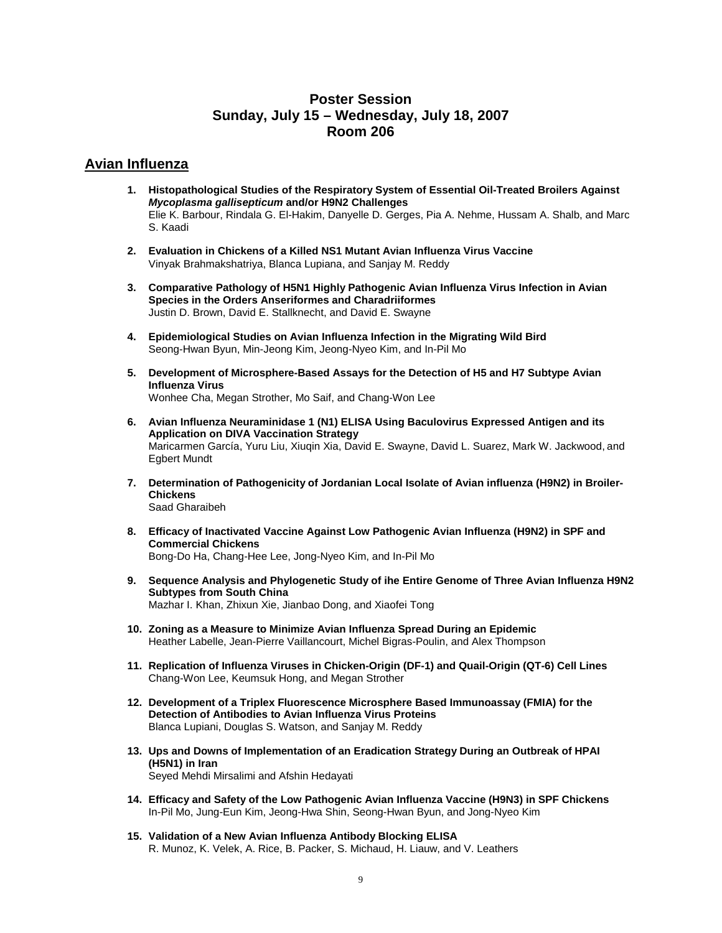# **Poster Session Sunday, July 15 – Wednesday, July 18, 2007 Room 206**

## **Avian Influenza**

- **1. Histopathological Studies of the Respiratory System of Essential Oil-Treated Broilers Against** *Mycoplasma gallisepticum* **and/or H9N2 Challenges** Elie K. Barbour, Rindala G. El-Hakim, Danyelle D. Gerges, Pia A. Nehme, Hussam A. Shalb, and Marc S. Kaadi
- **2. Evaluation in Chickens of a Killed NS1 Mutant Avian Influenza Virus Vaccine** Vinyak Brahmakshatriya, Blanca Lupiana, and Sanjay M. Reddy
- **3. Comparative Pathology of H5N1 Highly Pathogenic Avian Influenza Virus Infection in Avian Species in the Orders Anseriformes and Charadriiformes** Justin D. Brown, David E. Stallknecht, and David E. Swayne
- **4. Epidemiological Studies on Avian Influenza Infection in the Migrating Wild Bird** Seong-Hwan Byun, Min-Jeong Kim, Jeong-Nyeo Kim, and In-Pil Mo
- **5. Development of Microsphere-Based Assays for the Detection of H5 and H7 Subtype Avian Influenza Virus** Wonhee Cha, Megan Strother, Mo Saif, and Chang-Won Lee
- **6. Avian Influenza Neuraminidase 1 (N1) ELISA Using Baculovirus Expressed Antigen and its Application on DIVA Vaccination Strategy** Maricarmen García, Yuru Liu, Xiuqin Xia, David E. Swayne, David L. Suarez, Mark W. Jackwood, and Egbert Mundt
- **7. Determination of Pathogenicity of Jordanian Local Isolate of Avian influenza (H9N2) in Broiler-Chickens** Saad Gharaibeh
- **8. Efficacy of Inactivated Vaccine Against Low Pathogenic Avian Influenza (H9N2) in SPF and Commercial Chickens** Bong-Do Ha, Chang-Hee Lee, Jong-Nyeo Kim, and In-Pil Mo
- **9. Sequence Analysis and Phylogenetic Study of ihe Entire Genome of Three Avian Influenza H9N2 Subtypes from South China** Mazhar I. Khan, Zhixun Xie, Jianbao Dong, and Xiaofei Tong
- **10. Zoning as a Measure to Minimize Avian Influenza Spread During an Epidemic** Heather Labelle, Jean-Pierre Vaillancourt, Michel Bigras-Poulin, and Alex Thompson
- **11. Replication of Influenza Viruses in Chicken-Origin (DF-1) and Quail-Origin (QT-6) Cell Lines** Chang-Won Lee, Keumsuk Hong, and Megan Strother
- **12. Development of a Triplex Fluorescence Microsphere Based Immunoassay (FMIA) for the Detection of Antibodies to Avian Influenza Virus Proteins** Blanca Lupiani, Douglas S. Watson, and Sanjay M. Reddy
- **13. Ups and Downs of Implementation of an Eradication Strategy During an Outbreak of HPAI (H5N1) in Iran** Seyed Mehdi Mirsalimi and Afshin Hedayati
- **14. Efficacy and Safety of the Low Pathogenic Avian Influenza Vaccine (H9N3) in SPF Chickens** In-Pil Mo, Jung-Eun Kim, Jeong-Hwa Shin, Seong-Hwan Byun, and Jong-Nyeo Kim
- **15. Validation of a New Avian Influenza Antibody Blocking ELISA** R. Munoz, K. Velek, A. Rice, B. Packer, S. Michaud, H. Liauw, and V. Leathers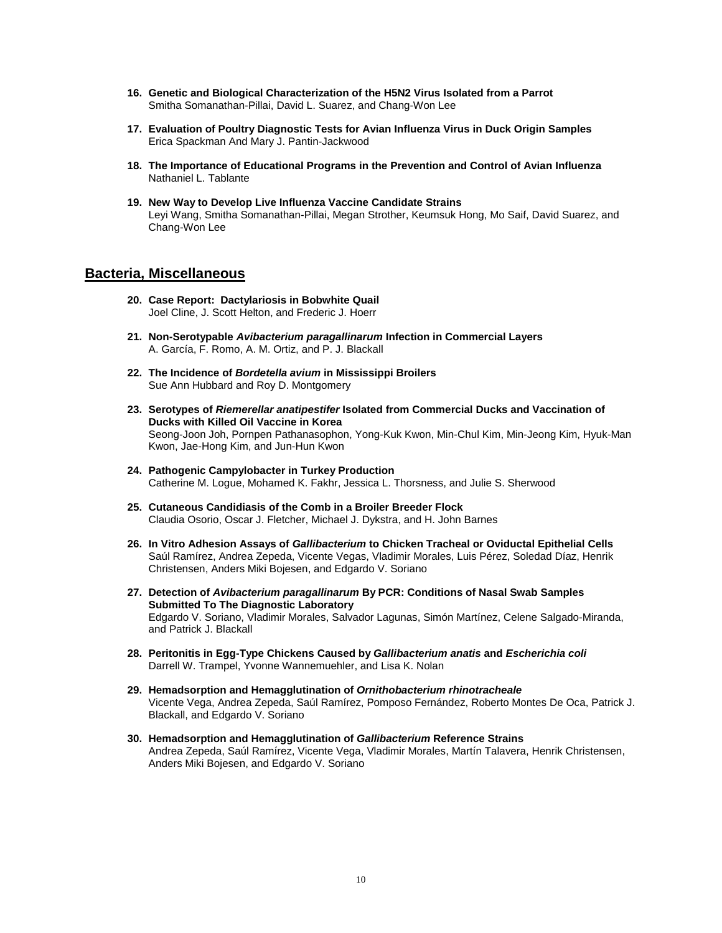- **16. Genetic and Biological Characterization of the H5N2 Virus Isolated from a Parrot** Smitha Somanathan-Pillai, David L. Suarez, and Chang-Won Lee
- **17. Evaluation of Poultry Diagnostic Tests for Avian Influenza Virus in Duck Origin Samples** Erica Spackman And Mary J. Pantin-Jackwood
- **18. The Importance of Educational Programs in the Prevention and Control of Avian Influenza** Nathaniel L. Tablante
- **19. New Way to Develop Live Influenza Vaccine Candidate Strains** Leyi Wang, Smitha Somanathan-Pillai, Megan Strother, Keumsuk Hong, Mo Saif, David Suarez, and Chang-Won Lee

### **Bacteria, Miscellaneous**

- **20. Case Report: Dactylariosis in Bobwhite Quail** Joel Cline, J. Scott Helton, and Frederic J. Hoerr
- **21. Non-Serotypable** *Avibacterium paragallinarum* **Infection in Commercial Layers** A. García, F. Romo, A. M. Ortiz, and P. J. Blackall
- **22. The Incidence of** *Bordetella avium* **in Mississippi Broilers** Sue Ann Hubbard and Roy D. Montgomery
- **23. Serotypes of** *Riemerellar anatipestifer* **Isolated from Commercial Ducks and Vaccination of Ducks with Killed Oil Vaccine in Korea** Seong-Joon Joh, Pornpen Pathanasophon, Yong-Kuk Kwon, Min-Chul Kim, Min-Jeong Kim, Hyuk-Man Kwon, Jae-Hong Kim, and Jun-Hun Kwon
- **24. Pathogenic Campylobacter in Turkey Production** Catherine M. Logue, Mohamed K. Fakhr, Jessica L. Thorsness, and Julie S. Sherwood
- **25. Cutaneous Candidiasis of the Comb in a Broiler Breeder Flock** Claudia Osorio, Oscar J. Fletcher, Michael J. Dykstra, and H. John Barnes
- **26. In Vitro Adhesion Assays of** *Gallibacterium* **to Chicken Tracheal or Oviductal Epithelial Cells** Saúl Ramírez, Andrea Zepeda, Vicente Vegas, Vladimir Morales, Luis Pérez, Soledad Díaz, Henrik Christensen, Anders Miki Bojesen, and Edgardo V. Soriano
- **27. Detection of** *Avibacterium paragallinarum* **By PCR: Conditions of Nasal Swab Samples Submitted To The Diagnostic Laboratory** Edgardo V. Soriano, Vladimir Morales, Salvador Lagunas, Simón Martínez, Celene Salgado-Miranda, and Patrick J. Blackall
- **28. Peritonitis in Egg-Type Chickens Caused by** *Gallibacterium anatis* **and** *Escherichia coli* Darrell W. Trampel, Yvonne Wannemuehler, and Lisa K. Nolan
- **29. Hemadsorption and Hemagglutination of** *Ornithobacterium rhinotracheale* Vicente Vega, Andrea Zepeda, Saúl Ramírez, Pomposo Fernández, Roberto Montes De Oca, Patrick J. Blackall, and Edgardo V. Soriano
- **30. Hemadsorption and Hemagglutination of** *Gallibacterium* **Reference Strains** Andrea Zepeda, Saúl Ramírez, Vicente Vega, Vladimir Morales, Martín Talavera, Henrik Christensen, Anders Miki Bojesen, and Edgardo V. Soriano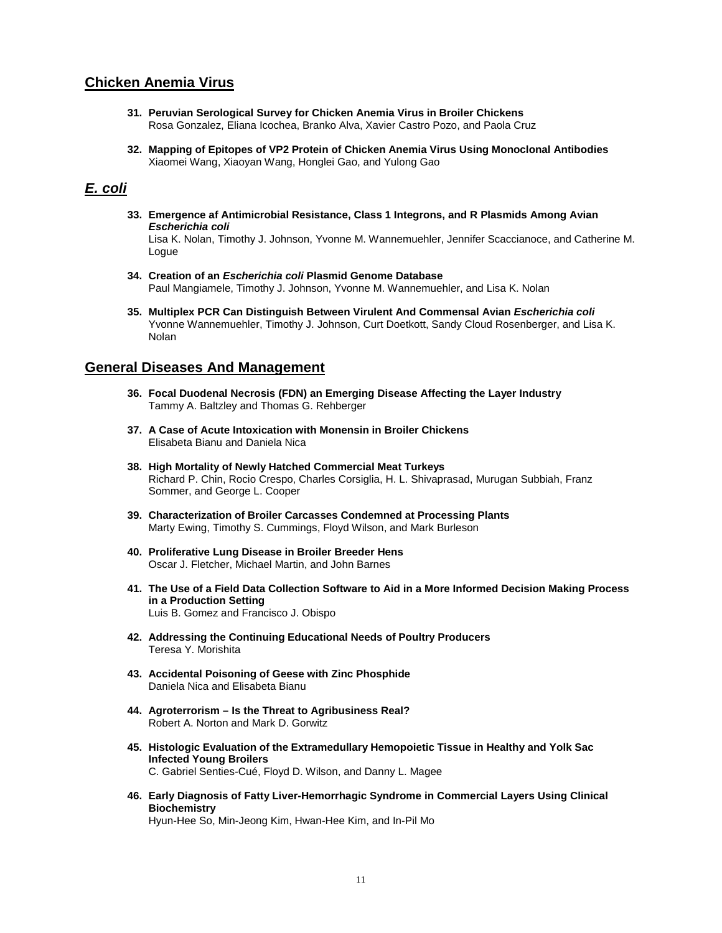# **Chicken Anemia Virus**

- **31. Peruvian Serological Survey for Chicken Anemia Virus in Broiler Chickens** Rosa Gonzalez, Eliana Icochea, Branko Alva, Xavier Castro Pozo, and Paola Cruz
- **32. Mapping of Epitopes of VP2 Protein of Chicken Anemia Virus Using Monoclonal Antibodies** Xiaomei Wang, Xiaoyan Wang, Honglei Gao, and Yulong Gao

### *E. coli*

- **33. Emergence af Antimicrobial Resistance, Class 1 Integrons, and R Plasmids Among Avian** *Escherichia coli* Lisa K. Nolan, Timothy J. Johnson, Yvonne M. Wannemuehler, Jennifer Scaccianoce, and Catherine M. Logue
- **34. Creation of an** *Escherichia coli* **Plasmid Genome Database** Paul Mangiamele, Timothy J. Johnson, Yvonne M. Wannemuehler, and Lisa K. Nolan
- **35. Multiplex PCR Can Distinguish Between Virulent And Commensal Avian** *Escherichia coli* Yvonne Wannemuehler, Timothy J. Johnson, Curt Doetkott, Sandy Cloud Rosenberger, and Lisa K. Nolan

### **General Diseases And Management**

- **36. Focal Duodenal Necrosis (FDN) an Emerging Disease Affecting the Layer Industry** Tammy A. Baltzley and Thomas G. Rehberger
- **37. A Case of Acute Intoxication with Monensin in Broiler Chickens** Elisabeta Bianu and Daniela Nica
- **38. High Mortality of Newly Hatched Commercial Meat Turkeys** Richard P. Chin, Rocio Crespo, Charles Corsiglia, H. L. Shivaprasad, Murugan Subbiah, Franz Sommer, and George L. Cooper
- **39. Characterization of Broiler Carcasses Condemned at Processing Plants** Marty Ewing, Timothy S. Cummings, Floyd Wilson, and Mark Burleson
- **40. Proliferative Lung Disease in Broiler Breeder Hens** Oscar J. Fletcher, Michael Martin, and John Barnes
- **41. The Use of a Field Data Collection Software to Aid in a More Informed Decision Making Process in a Production Setting** Luis B. Gomez and Francisco J. Obispo
- **42. Addressing the Continuing Educational Needs of Poultry Producers** Teresa Y. Morishita
- **43. Accidental Poisoning of Geese with Zinc Phosphide** Daniela Nica and Elisabeta Bianu
- **44. Agroterrorism – Is the Threat to Agribusiness Real?** Robert A. Norton and Mark D. Gorwitz
- **45. Histologic Evaluation of the Extramedullary Hemopoietic Tissue in Healthy and Yolk Sac Infected Young Broilers** C. Gabriel Senties-Cué, Floyd D. Wilson, and Danny L. Magee
- **46. Early Diagnosis of Fatty Liver-Hemorrhagic Syndrome in Commercial Layers Using Clinical Biochemistry** Hyun-Hee So, Min-Jeong Kim, Hwan-Hee Kim, and In-Pil Mo

11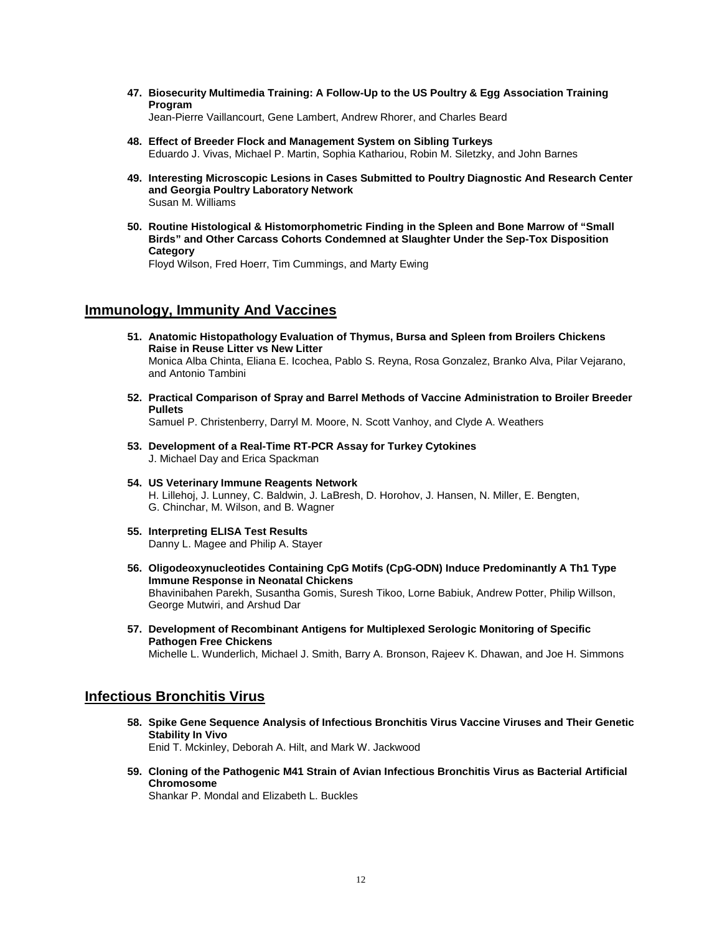**47. Biosecurity Multimedia Training: A Follow-Up to the US Poultry & Egg Association Training Program**

Jean-Pierre Vaillancourt, Gene Lambert, Andrew Rhorer, and Charles Beard

- **48. Effect of Breeder Flock and Management System on Sibling Turkeys** Eduardo J. Vivas, Michael P. Martin, Sophia Kathariou, Robin M. Siletzky, and John Barnes
- **49. Interesting Microscopic Lesions in Cases Submitted to Poultry Diagnostic And Research Center and Georgia Poultry Laboratory Network** Susan M. Williams
- **50. Routine Histological & Histomorphometric Finding in the Spleen and Bone Marrow of "Small Birds" and Other Carcass Cohorts Condemned at Slaughter Under the Sep-Tox Disposition Category**

Floyd Wilson, Fred Hoerr, Tim Cummings, and Marty Ewing

# **Immunology, Immunity And Vaccines**

- **51. Anatomic Histopathology Evaluation of Thymus, Bursa and Spleen from Broilers Chickens Raise in Reuse Litter vs New Litter** Monica Alba Chinta, Eliana E. Icochea, Pablo S. Reyna, Rosa Gonzalez, Branko Alva, Pilar Vejarano, and Antonio Tambini
- **52. Practical Comparison of Spray and Barrel Methods of Vaccine Administration to Broiler Breeder Pullets**

Samuel P. Christenberry, Darryl M. Moore, N. Scott Vanhoy, and Clyde A. Weathers

- **53. Development of a Real-Time RT-PCR Assay for Turkey Cytokines** J. Michael Day and Erica Spackman
- **54. US Veterinary Immune Reagents Network** H. Lillehoj, J. Lunney, C. Baldwin, J. LaBresh, D. Horohov, J. Hansen, N. Miller, E. Bengten, G. Chinchar, M. Wilson, and B. Wagner
- **55. Interpreting ELISA Test Results** Danny L. Magee and Philip A. Stayer
- **56. Oligodeoxynucleotides Containing CpG Motifs (CpG-ODN) Induce Predominantly A Th1 Type Immune Response in Neonatal Chickens** Bhavinibahen Parekh, Susantha Gomis, Suresh Tikoo, Lorne Babiuk, Andrew Potter, Philip Willson, George Mutwiri, and Arshud Dar
- **57. Development of Recombinant Antigens for Multiplexed Serologic Monitoring of Specific Pathogen Free Chickens** Michelle L. Wunderlich, Michael J. Smith, Barry A. Bronson, Rajeev K. Dhawan, and Joe H. Simmons

### **Infectious Bronchitis Virus**

**58. Spike Gene Sequence Analysis of Infectious Bronchitis Virus Vaccine Viruses and Their Genetic Stability In Vivo**

Enid T. Mckinley, Deborah A. Hilt, and Mark W. Jackwood

**59. Cloning of the Pathogenic M41 Strain of Avian Infectious Bronchitis Virus as Bacterial Artificial Chromosome**

Shankar P. Mondal and Elizabeth L. Buckles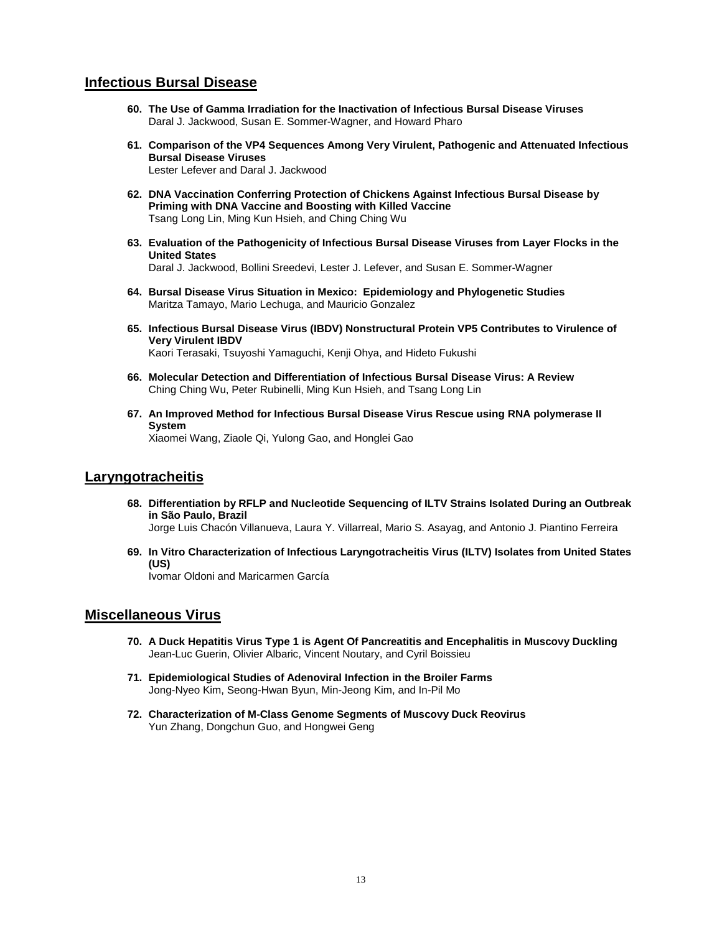## **Infectious Bursal Disease**

- **60. The Use of Gamma Irradiation for the Inactivation of Infectious Bursal Disease Viruses** Daral J. Jackwood, Susan E. Sommer-Wagner, and Howard Pharo
- **61. Comparison of the VP4 Sequences Among Very Virulent, Pathogenic and Attenuated Infectious Bursal Disease Viruses** Lester Lefever and Daral J. Jackwood
- **62. DNA Vaccination Conferring Protection of Chickens Against Infectious Bursal Disease by Priming with DNA Vaccine and Boosting with Killed Vaccine** Tsang Long Lin, Ming Kun Hsieh, and Ching Ching Wu
- **63. Evaluation of the Pathogenicity of Infectious Bursal Disease Viruses from Layer Flocks in the United States** Daral J. Jackwood, Bollini Sreedevi, Lester J. Lefever, and Susan E. Sommer-Wagner
- **64. Bursal Disease Virus Situation in Mexico: Epidemiology and Phylogenetic Studies** Maritza Tamayo, Mario Lechuga, and Mauricio Gonzalez
- **65. Infectious Bursal Disease Virus (IBDV) Nonstructural Protein VP5 Contributes to Virulence of Very Virulent IBDV** Kaori Terasaki, Tsuyoshi Yamaguchi, Kenji Ohya, and Hideto Fukushi
- **66. Molecular Detection and Differentiation of Infectious Bursal Disease Virus: A Review** Ching Ching Wu, Peter Rubinelli, Ming Kun Hsieh, and Tsang Long Lin
- **67. An Improved Method for Infectious Bursal Disease Virus Rescue using RNA polymerase II System**

Xiaomei Wang, Ziaole Qi, Yulong Gao, and Honglei Gao

### **Laryngotracheitis**

**68. Differentiation by RFLP and Nucleotide Sequencing of ILTV Strains Isolated During an Outbreak in São Paulo, Brazil**

Jorge Luis Chacón Villanueva, Laura Y. Villarreal, Mario S. Asayag, and Antonio J. Piantino Ferreira

**69. In Vitro Characterization of Infectious Laryngotracheitis Virus (ILTV) Isolates from United States (US)**

Ivomar Oldoni and Maricarmen García

## **Miscellaneous Virus**

- **70. A Duck Hepatitis Virus Type 1 is Agent Of Pancreatitis and Encephalitis in Muscovy Duckling** Jean-Luc Guerin, Olivier Albaric, Vincent Noutary, and Cyril Boissieu
- **71. Epidemiological Studies of Adenoviral Infection in the Broiler Farms** Jong-Nyeo Kim, Seong-Hwan Byun, Min-Jeong Kim, and In-Pil Mo
- **72. Characterization of M-Class Genome Segments of Muscovy Duck Reovirus** Yun Zhang, Dongchun Guo, and Hongwei Geng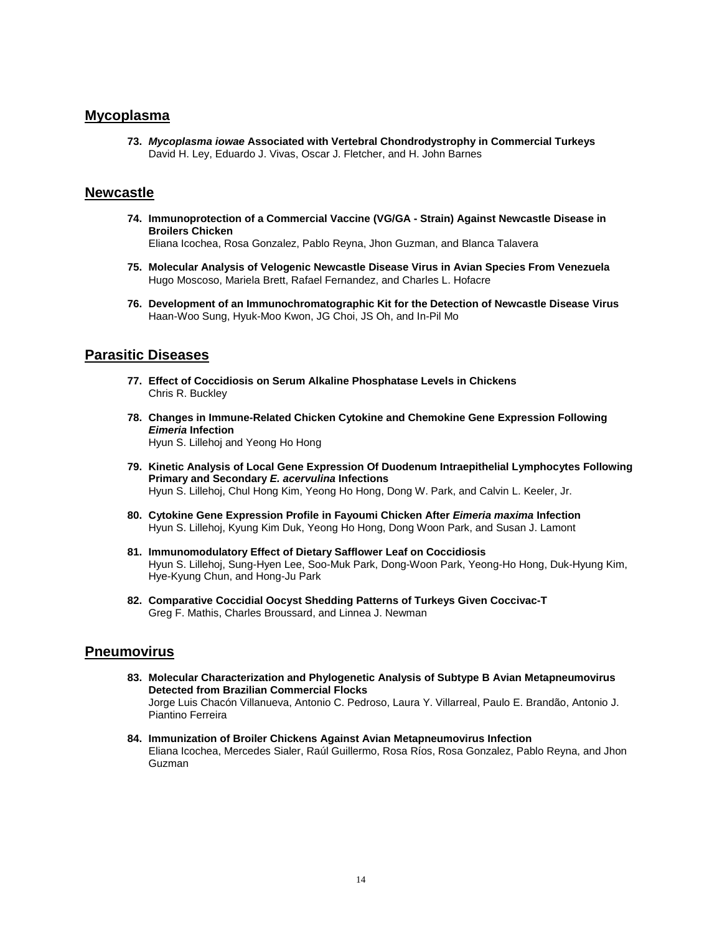## **Mycoplasma**

**73.** *Mycoplasma iowae* **Associated with Vertebral Chondrodystrophy in Commercial Turkeys** David H. Ley, Eduardo J. Vivas, Oscar J. Fletcher, and H. John Barnes

### **Newcastle**

**74. Immunoprotection of a Commercial Vaccine (VG/GA - Strain) Against Newcastle Disease in Broilers Chicken**

Eliana Icochea, Rosa Gonzalez, Pablo Reyna, Jhon Guzman, and Blanca Talavera

- **75. Molecular Analysis of Velogenic Newcastle Disease Virus in Avian Species From Venezuela** Hugo Moscoso, Mariela Brett, Rafael Fernandez, and Charles L. Hofacre
- **76. Development of an Immunochromatographic Kit for the Detection of Newcastle Disease Virus** Haan-Woo Sung, Hyuk-Moo Kwon, JG Choi, JS Oh, and In-Pil Mo

# **Parasitic Diseases**

- **77. Effect of Coccidiosis on Serum Alkaline Phosphatase Levels in Chickens** Chris R. Buckley
- **78. Changes in Immune-Related Chicken Cytokine and Chemokine Gene Expression Following** *Eimeria* **Infection** Hyun S. Lillehoj and Yeong Ho Hong
- **79. Kinetic Analysis of Local Gene Expression Of Duodenum Intraepithelial Lymphocytes Following Primary and Secondary** *E. acervulina* **Infections** Hyun S. Lillehoj, Chul Hong Kim, Yeong Ho Hong, Dong W. Park, and Calvin L. Keeler, Jr.
- **80. Cytokine Gene Expression Profile in Fayoumi Chicken After** *Eimeria maxima* **Infection** Hyun S. Lillehoj, Kyung Kim Duk, Yeong Ho Hong, Dong Woon Park, and Susan J. Lamont
- **81. Immunomodulatory Effect of Dietary Safflower Leaf on Coccidiosis** Hyun S. Lillehoj, Sung-Hyen Lee, Soo-Muk Park, Dong-Woon Park, Yeong-Ho Hong, Duk-Hyung Kim, Hye-Kyung Chun, and Hong-Ju Park
- **82. Comparative Coccidial Oocyst Shedding Patterns of Turkeys Given Coccivac-T** Greg F. Mathis, Charles Broussard, and Linnea J. Newman

# **Pneumovirus**

- **83. Molecular Characterization and Phylogenetic Analysis of Subtype B Avian Metapneumovirus Detected from Brazilian Commercial Flocks** Jorge Luis Chacón Villanueva, Antonio C. Pedroso, Laura Y. Villarreal, Paulo E. Brandão, Antonio J. Piantino Ferreira
- **84. Immunization of Broiler Chickens Against Avian Metapneumovirus Infection** Eliana Icochea, Mercedes Sialer, Raúl Guillermo, Rosa Ríos, Rosa Gonzalez, Pablo Reyna, and Jhon Guzman